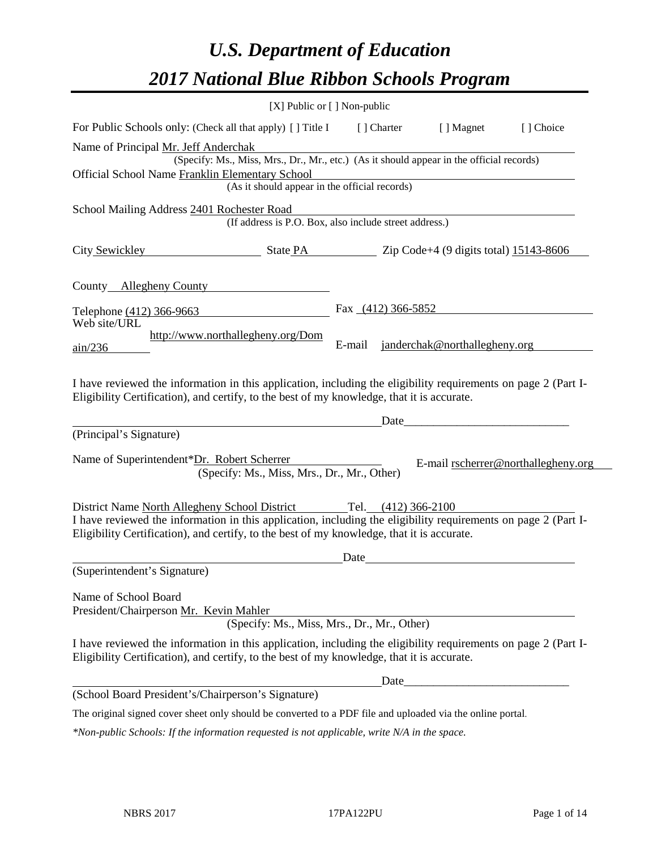# *U.S. Department of Education 2017 National Blue Ribbon Schools Program*

|                                                                                                                                                                                                              | [X] Public or [] Non-public                                                              |        |                      |                               |                                     |
|--------------------------------------------------------------------------------------------------------------------------------------------------------------------------------------------------------------|------------------------------------------------------------------------------------------|--------|----------------------|-------------------------------|-------------------------------------|
| For Public Schools only: (Check all that apply) [] Title I                                                                                                                                                   |                                                                                          |        | [] Charter           | [ ] Magnet                    | [ ] Choice                          |
| Name of Principal Mr. Jeff Anderchak                                                                                                                                                                         |                                                                                          |        |                      |                               |                                     |
|                                                                                                                                                                                                              | (Specify: Ms., Miss, Mrs., Dr., Mr., etc.) (As it should appear in the official records) |        |                      |                               |                                     |
| Official School Name Franklin Elementary School                                                                                                                                                              | (As it should appear in the official records)                                            |        |                      |                               |                                     |
|                                                                                                                                                                                                              |                                                                                          |        |                      |                               |                                     |
| School Mailing Address 2401 Rochester Road                                                                                                                                                                   | (If address is P.O. Box, also include street address.)                                   |        |                      |                               |                                     |
| City Sewickley                                                                                                                                                                                               | State PA Zip Code+4 (9 digits total) 15143-8606                                          |        |                      |                               |                                     |
| County Allegheny County                                                                                                                                                                                      |                                                                                          |        |                      |                               |                                     |
| Telephone (412) 366-9663                                                                                                                                                                                     |                                                                                          |        | Fax $(412)$ 366-5852 |                               |                                     |
| Web site/URL                                                                                                                                                                                                 |                                                                                          |        |                      |                               |                                     |
| $\frac{\text{ain}}{236}$                                                                                                                                                                                     | http://www.northallegheny.org/Dom                                                        | E-mail |                      | janderchak@northallegheny.org |                                     |
| I have reviewed the information in this application, including the eligibility requirements on page 2 (Part I-<br>Eligibility Certification), and certify, to the best of my knowledge, that it is accurate. |                                                                                          |        |                      |                               |                                     |
| (Principal's Signature)                                                                                                                                                                                      |                                                                                          |        | Date                 |                               |                                     |
| Name of Superintendent*Dr. Robert Scherrer                                                                                                                                                                   | (Specify: Ms., Miss, Mrs., Dr., Mr., Other)                                              |        |                      |                               | E-mail rscherrer@northallegheny.org |
| District Name North Allegheny School District Tel. (412) 366-2100                                                                                                                                            |                                                                                          |        |                      |                               |                                     |
| I have reviewed the information in this application, including the eligibility requirements on page 2 (Part I-<br>Eligibility Certification), and certify, to the best of my knowledge, that it is accurate. |                                                                                          |        |                      |                               |                                     |
|                                                                                                                                                                                                              |                                                                                          | Date   |                      |                               |                                     |
| (Superintendent's Signature)                                                                                                                                                                                 |                                                                                          |        |                      |                               |                                     |
| Name of School Board<br>President/Chairperson Mr. Kevin Mahler                                                                                                                                               | (Specify: Ms., Miss, Mrs., Dr., Mr., Other)                                              |        |                      |                               |                                     |
| I have reviewed the information in this application, including the eligibility requirements on page 2 (Part I-<br>Eligibility Certification), and certify, to the best of my knowledge, that it is accurate. |                                                                                          |        |                      |                               |                                     |
|                                                                                                                                                                                                              |                                                                                          |        |                      |                               |                                     |
| (School Board President's/Chairperson's Signature)                                                                                                                                                           |                                                                                          |        |                      |                               |                                     |
| The original signed cover sheet only should be converted to a PDF file and uploaded via the online portal.                                                                                                   |                                                                                          |        |                      |                               |                                     |

*\*Non-public Schools: If the information requested is not applicable, write N/A in the space.*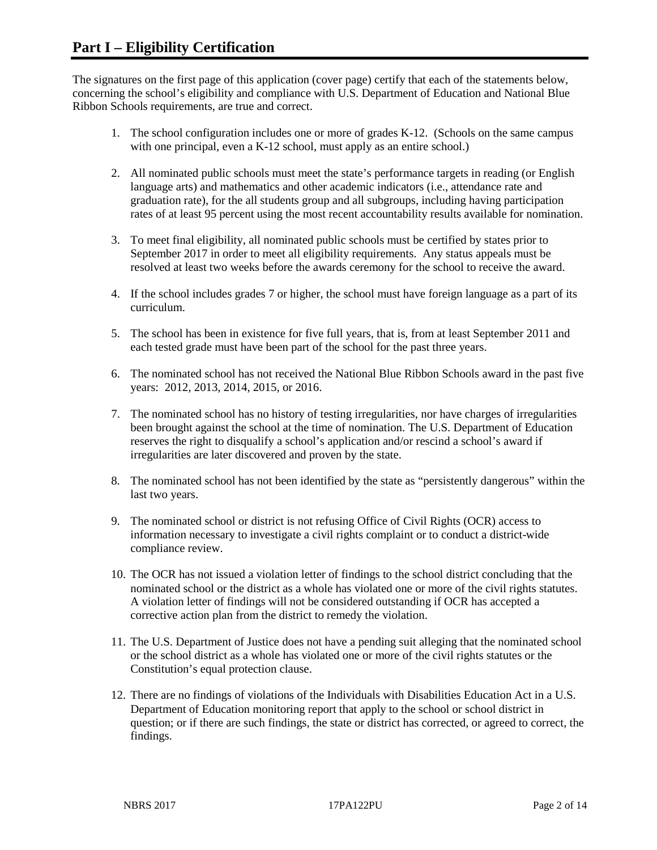The signatures on the first page of this application (cover page) certify that each of the statements below, concerning the school's eligibility and compliance with U.S. Department of Education and National Blue Ribbon Schools requirements, are true and correct.

- 1. The school configuration includes one or more of grades K-12. (Schools on the same campus with one principal, even a K-12 school, must apply as an entire school.)
- 2. All nominated public schools must meet the state's performance targets in reading (or English language arts) and mathematics and other academic indicators (i.e., attendance rate and graduation rate), for the all students group and all subgroups, including having participation rates of at least 95 percent using the most recent accountability results available for nomination.
- 3. To meet final eligibility, all nominated public schools must be certified by states prior to September 2017 in order to meet all eligibility requirements. Any status appeals must be resolved at least two weeks before the awards ceremony for the school to receive the award.
- 4. If the school includes grades 7 or higher, the school must have foreign language as a part of its curriculum.
- 5. The school has been in existence for five full years, that is, from at least September 2011 and each tested grade must have been part of the school for the past three years.
- 6. The nominated school has not received the National Blue Ribbon Schools award in the past five years: 2012, 2013, 2014, 2015, or 2016.
- 7. The nominated school has no history of testing irregularities, nor have charges of irregularities been brought against the school at the time of nomination. The U.S. Department of Education reserves the right to disqualify a school's application and/or rescind a school's award if irregularities are later discovered and proven by the state.
- 8. The nominated school has not been identified by the state as "persistently dangerous" within the last two years.
- 9. The nominated school or district is not refusing Office of Civil Rights (OCR) access to information necessary to investigate a civil rights complaint or to conduct a district-wide compliance review.
- 10. The OCR has not issued a violation letter of findings to the school district concluding that the nominated school or the district as a whole has violated one or more of the civil rights statutes. A violation letter of findings will not be considered outstanding if OCR has accepted a corrective action plan from the district to remedy the violation.
- 11. The U.S. Department of Justice does not have a pending suit alleging that the nominated school or the school district as a whole has violated one or more of the civil rights statutes or the Constitution's equal protection clause.
- 12. There are no findings of violations of the Individuals with Disabilities Education Act in a U.S. Department of Education monitoring report that apply to the school or school district in question; or if there are such findings, the state or district has corrected, or agreed to correct, the findings.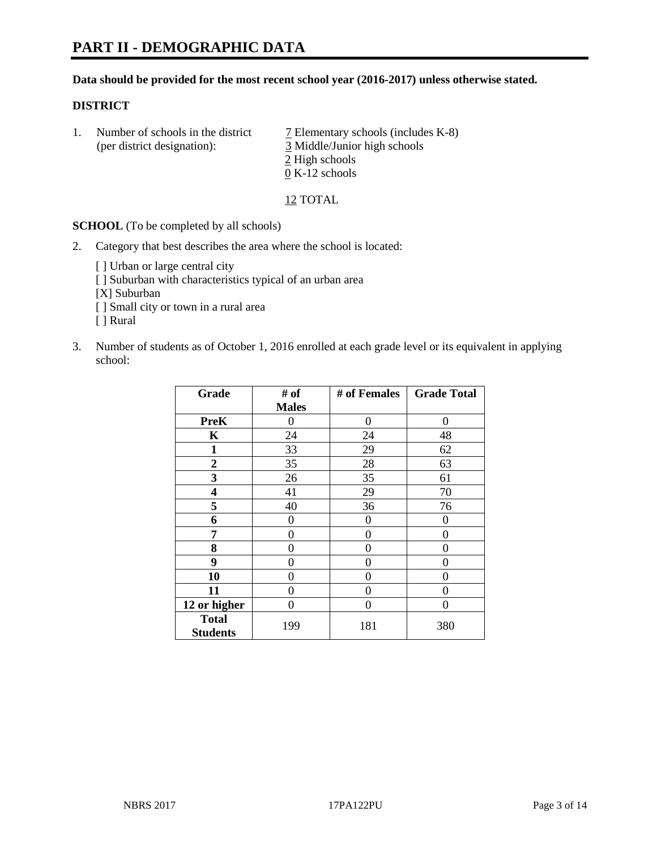#### **Data should be provided for the most recent school year (2016-2017) unless otherwise stated.**

#### **DISTRICT**

1. Number of schools in the district  $\overline{7}$  Elementary schools (includes K-8) (per district designation): 3 Middle/Junior high schools 2 High schools 0 K-12 schools

12 TOTAL

**SCHOOL** (To be completed by all schools)

- 2. Category that best describes the area where the school is located:
	- [] Urban or large central city [ ] Suburban with characteristics typical of an urban area [X] Suburban [ ] Small city or town in a rural area [ ] Rural
- 3. Number of students as of October 1, 2016 enrolled at each grade level or its equivalent in applying school:

| Grade                           | # of         | # of Females | <b>Grade Total</b> |
|---------------------------------|--------------|--------------|--------------------|
|                                 | <b>Males</b> |              |                    |
| <b>PreK</b>                     | 0            | $\theta$     | 0                  |
| $\mathbf K$                     | 24           | 24           | 48                 |
| 1                               | 33           | 29           | 62                 |
| 2                               | 35           | 28           | 63                 |
| 3                               | 26           | 35           | 61                 |
| 4                               | 41           | 29           | 70                 |
| 5                               | 40           | 36           | 76                 |
| 6                               | 0            | 0            | 0                  |
| 7                               | 0            | 0            | 0                  |
| 8                               | 0            | 0            | 0                  |
| 9                               | 0            | 0            | 0                  |
| 10                              | 0            | 0            | 0                  |
| 11                              | 0            | 0            | $\mathbf{\Omega}$  |
| 12 or higher                    | 0            | 0            | 0                  |
| <b>Total</b><br><b>Students</b> | 199          | 181          | 380                |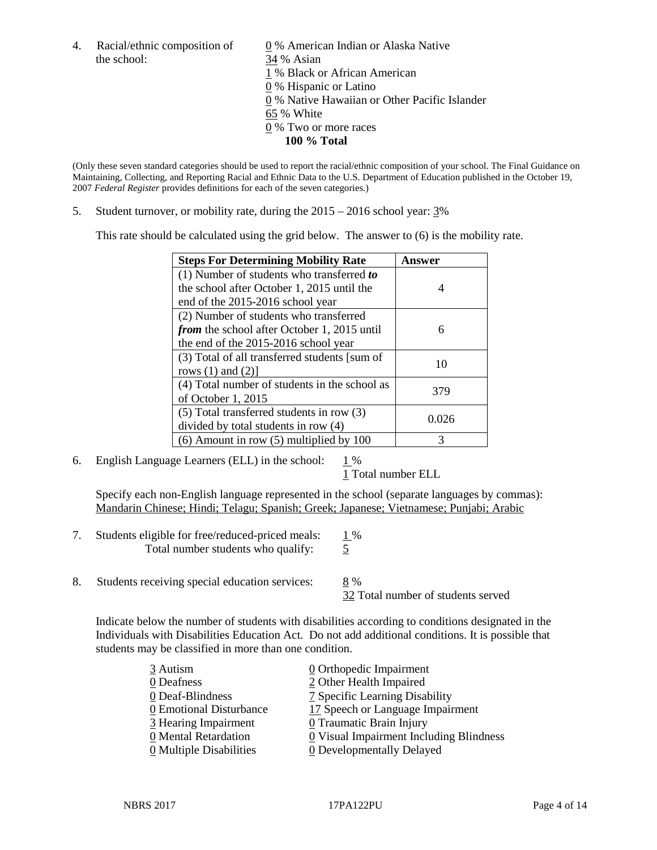the school: 34 % Asian

4. Racial/ethnic composition of  $\qquad \qquad \underline{0}$  % American Indian or Alaska Native 1 % Black or African American 0 % Hispanic or Latino 0 % Native Hawaiian or Other Pacific Islander 65 % White 0 % Two or more races **100 % Total**

(Only these seven standard categories should be used to report the racial/ethnic composition of your school. The Final Guidance on Maintaining, Collecting, and Reporting Racial and Ethnic Data to the U.S. Department of Education published in the October 19, 2007 *Federal Register* provides definitions for each of the seven categories.)

5. Student turnover, or mobility rate, during the 2015 – 2016 school year: 3%

This rate should be calculated using the grid below. The answer to (6) is the mobility rate.

| <b>Steps For Determining Mobility Rate</b>    | Answer |  |
|-----------------------------------------------|--------|--|
| (1) Number of students who transferred to     |        |  |
| the school after October 1, 2015 until the    | 4      |  |
| end of the 2015-2016 school year              |        |  |
| (2) Number of students who transferred        |        |  |
| from the school after October 1, 2015 until   | 6      |  |
| the end of the 2015-2016 school year          |        |  |
| (3) Total of all transferred students [sum of | 10     |  |
| rows $(1)$ and $(2)$ ]                        |        |  |
| (4) Total number of students in the school as | 379    |  |
| of October 1, 2015                            |        |  |
| $(5)$ Total transferred students in row $(3)$ | 0.026  |  |
| divided by total students in row (4)          |        |  |
| $(6)$ Amount in row $(5)$ multiplied by 100   | 3      |  |

6. English Language Learners (ELL) in the school:  $1\%$ 

1 Total number ELL

Specify each non-English language represented in the school (separate languages by commas): Mandarin Chinese; Hindi; Telagu; Spanish; Greek; Japanese; Vietnamese; Punjabi; Arabic

- 7. Students eligible for free/reduced-priced meals:  $1\%$ Total number students who qualify: 5
- 8. Students receiving special education services: 8 %

32 Total number of students served

Indicate below the number of students with disabilities according to conditions designated in the Individuals with Disabilities Education Act. Do not add additional conditions. It is possible that students may be classified in more than one condition.

| 3 Autism                              | $\underline{0}$ Orthopedic Impairment   |
|---------------------------------------|-----------------------------------------|
| 0 Deafness                            | 2 Other Health Impaired                 |
| 0 Deaf-Blindness                      | 7 Specific Learning Disability          |
| 0 Emotional Disturbance               | 17 Speech or Language Impairment        |
| 3 Hearing Impairment                  | 0 Traumatic Brain Injury                |
| 0 Mental Retardation                  | 0 Visual Impairment Including Blindness |
| $\underline{0}$ Multiple Disabilities | <b>0</b> Developmentally Delayed        |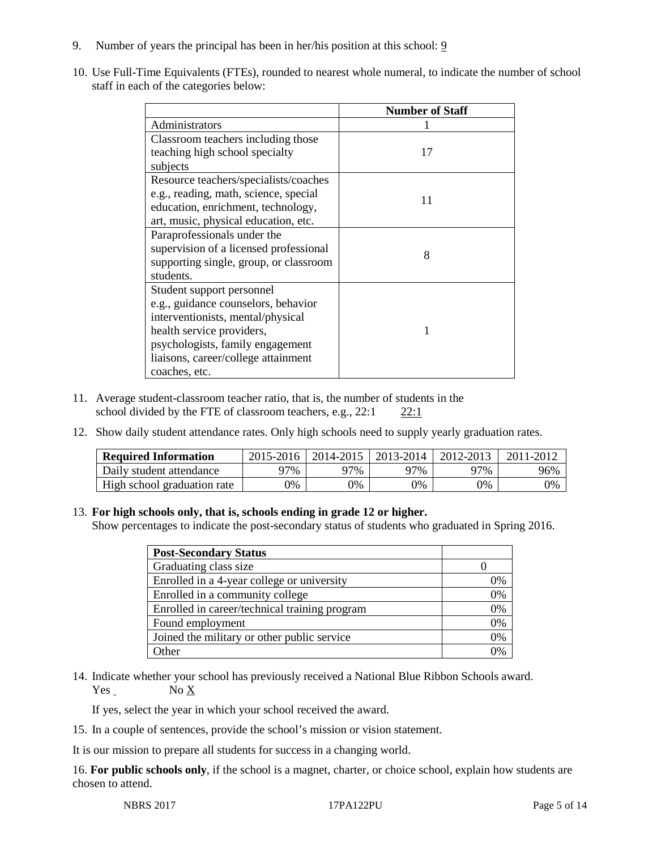- 9. Number of years the principal has been in her/his position at this school: 9
- 10. Use Full-Time Equivalents (FTEs), rounded to nearest whole numeral, to indicate the number of school staff in each of the categories below:

|                                        | <b>Number of Staff</b> |  |  |
|----------------------------------------|------------------------|--|--|
| Administrators                         |                        |  |  |
| Classroom teachers including those     |                        |  |  |
| teaching high school specialty         | 17                     |  |  |
| subjects                               |                        |  |  |
| Resource teachers/specialists/coaches  |                        |  |  |
| e.g., reading, math, science, special  | 11                     |  |  |
| education, enrichment, technology,     |                        |  |  |
| art, music, physical education, etc.   |                        |  |  |
| Paraprofessionals under the            |                        |  |  |
| supervision of a licensed professional | 8                      |  |  |
| supporting single, group, or classroom |                        |  |  |
| students.                              |                        |  |  |
| Student support personnel              |                        |  |  |
| e.g., guidance counselors, behavior    |                        |  |  |
| interventionists, mental/physical      |                        |  |  |
| health service providers,              |                        |  |  |
| psychologists, family engagement       |                        |  |  |
| liaisons, career/college attainment    |                        |  |  |
| coaches, etc.                          |                        |  |  |

- 11. Average student-classroom teacher ratio, that is, the number of students in the school divided by the FTE of classroom teachers, e.g., 22:1 22:1
- 12. Show daily student attendance rates. Only high schools need to supply yearly graduation rates.

| <b>Required Information</b> | 2015-2016 | 2014-2015 | 2013-2014 | 2012-2013 |     |
|-----------------------------|-----------|-----------|-----------|-----------|-----|
| Daily student attendance    | ว7%       | 97%       | 97%       | ን7%       | 96% |
| High school graduation rate | 0%        | 0%        | 0%        | 9%        | 0%  |

#### 13. **For high schools only, that is, schools ending in grade 12 or higher.**

Show percentages to indicate the post-secondary status of students who graduated in Spring 2016.

| <b>Post-Secondary Status</b>                  |    |
|-----------------------------------------------|----|
| Graduating class size                         |    |
| Enrolled in a 4-year college or university    | 0% |
| Enrolled in a community college               | 0% |
| Enrolled in career/technical training program | 0% |
| Found employment                              | 0% |
| Joined the military or other public service   | 0% |
| )ther                                         |    |

14. Indicate whether your school has previously received a National Blue Ribbon Schools award.  $Yes$  No  $X$ 

If yes, select the year in which your school received the award.

15. In a couple of sentences, provide the school's mission or vision statement.

It is our mission to prepare all students for success in a changing world.

16. **For public schools only**, if the school is a magnet, charter, or choice school, explain how students are chosen to attend.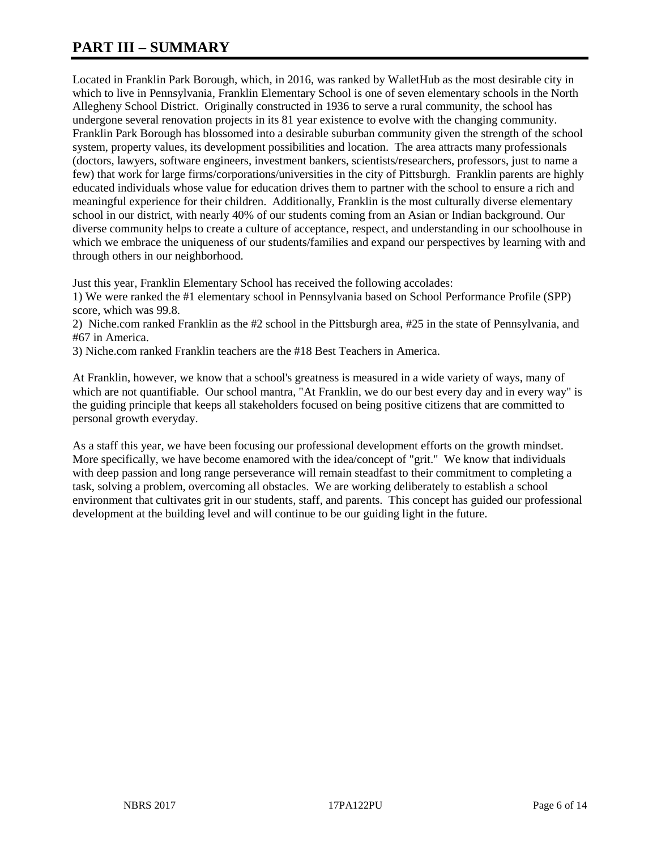# **PART III – SUMMARY**

Located in Franklin Park Borough, which, in 2016, was ranked by WalletHub as the most desirable city in which to live in Pennsylvania, Franklin Elementary School is one of seven elementary schools in the North Allegheny School District. Originally constructed in 1936 to serve a rural community, the school has undergone several renovation projects in its 81 year existence to evolve with the changing community. Franklin Park Borough has blossomed into a desirable suburban community given the strength of the school system, property values, its development possibilities and location. The area attracts many professionals (doctors, lawyers, software engineers, investment bankers, scientists/researchers, professors, just to name a few) that work for large firms/corporations/universities in the city of Pittsburgh. Franklin parents are highly educated individuals whose value for education drives them to partner with the school to ensure a rich and meaningful experience for their children. Additionally, Franklin is the most culturally diverse elementary school in our district, with nearly 40% of our students coming from an Asian or Indian background. Our diverse community helps to create a culture of acceptance, respect, and understanding in our schoolhouse in which we embrace the uniqueness of our students/families and expand our perspectives by learning with and through others in our neighborhood.

Just this year, Franklin Elementary School has received the following accolades:

1) We were ranked the #1 elementary school in Pennsylvania based on School Performance Profile (SPP) score, which was 99.8.

2) Niche.com ranked Franklin as the #2 school in the Pittsburgh area, #25 in the state of Pennsylvania, and #67 in America.

3) Niche.com ranked Franklin teachers are the #18 Best Teachers in America.

At Franklin, however, we know that a school's greatness is measured in a wide variety of ways, many of which are not quantifiable. Our school mantra, "At Franklin, we do our best every day and in every way" is the guiding principle that keeps all stakeholders focused on being positive citizens that are committed to personal growth everyday.

As a staff this year, we have been focusing our professional development efforts on the growth mindset. More specifically, we have become enamored with the idea/concept of "grit." We know that individuals with deep passion and long range perseverance will remain steadfast to their commitment to completing a task, solving a problem, overcoming all obstacles. We are working deliberately to establish a school environment that cultivates grit in our students, staff, and parents. This concept has guided our professional development at the building level and will continue to be our guiding light in the future.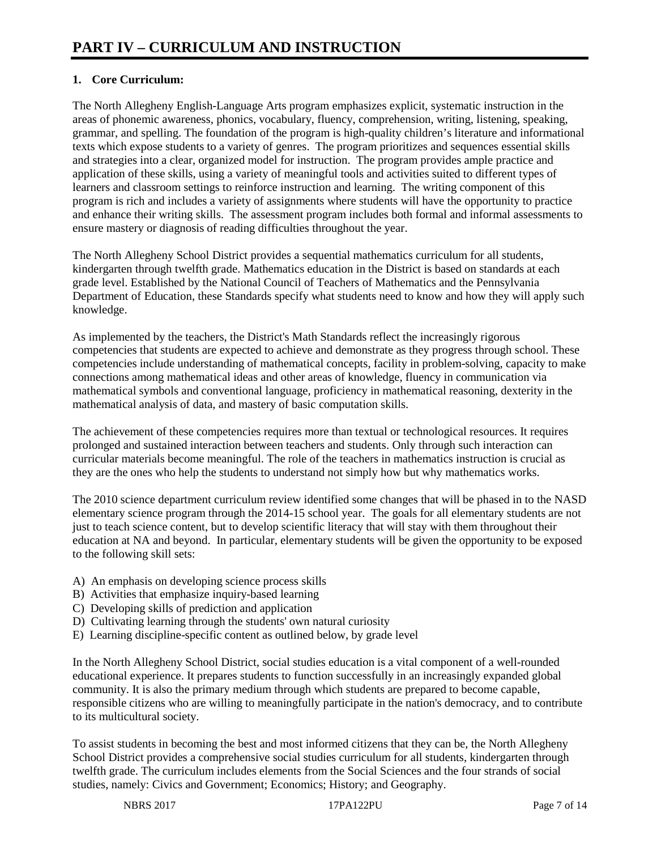# **1. Core Curriculum:**

The North Allegheny English-Language Arts program emphasizes explicit, systematic instruction in the areas of phonemic awareness, phonics, vocabulary, fluency, comprehension, writing, listening, speaking, grammar, and spelling. The foundation of the program is high-quality children's literature and informational texts which expose students to a variety of genres. The program prioritizes and sequences essential skills and strategies into a clear, organized model for instruction. The program provides ample practice and application of these skills, using a variety of meaningful tools and activities suited to different types of learners and classroom settings to reinforce instruction and learning. The writing component of this program is rich and includes a variety of assignments where students will have the opportunity to practice and enhance their writing skills. The assessment program includes both formal and informal assessments to ensure mastery or diagnosis of reading difficulties throughout the year.

The North Allegheny School District provides a sequential mathematics curriculum for all students, kindergarten through twelfth grade. Mathematics education in the District is based on standards at each grade level. Established by the National Council of Teachers of Mathematics and the Pennsylvania Department of Education, these Standards specify what students need to know and how they will apply such knowledge.

As implemented by the teachers, the District's Math Standards reflect the increasingly rigorous competencies that students are expected to achieve and demonstrate as they progress through school. These competencies include understanding of mathematical concepts, facility in problem-solving, capacity to make connections among mathematical ideas and other areas of knowledge, fluency in communication via mathematical symbols and conventional language, proficiency in mathematical reasoning, dexterity in the mathematical analysis of data, and mastery of basic computation skills.

The achievement of these competencies requires more than textual or technological resources. It requires prolonged and sustained interaction between teachers and students. Only through such interaction can curricular materials become meaningful. The role of the teachers in mathematics instruction is crucial as they are the ones who help the students to understand not simply how but why mathematics works.

The 2010 science department curriculum review identified some changes that will be phased in to the NASD elementary science program through the 2014-15 school year. The goals for all elementary students are not just to teach science content, but to develop scientific literacy that will stay with them throughout their education at NA and beyond. In particular, elementary students will be given the opportunity to be exposed to the following skill sets:

- A) An emphasis on developing science process skills
- B) Activities that emphasize inquiry-based learning
- C) Developing skills of prediction and application
- D) Cultivating learning through the students' own natural curiosity
- E) Learning discipline-specific content as outlined below, by grade level

In the North Allegheny School District, social studies education is a vital component of a well-rounded educational experience. It prepares students to function successfully in an increasingly expanded global community. It is also the primary medium through which students are prepared to become capable, responsible citizens who are willing to meaningfully participate in the nation's democracy, and to contribute to its multicultural society.

To assist students in becoming the best and most informed citizens that they can be, the North Allegheny School District provides a comprehensive social studies curriculum for all students, kindergarten through twelfth grade. The curriculum includes elements from the Social Sciences and the four strands of social studies, namely: Civics and Government; Economics; History; and Geography.

NBRS 2017 **17PA122PU** Page 7 of 14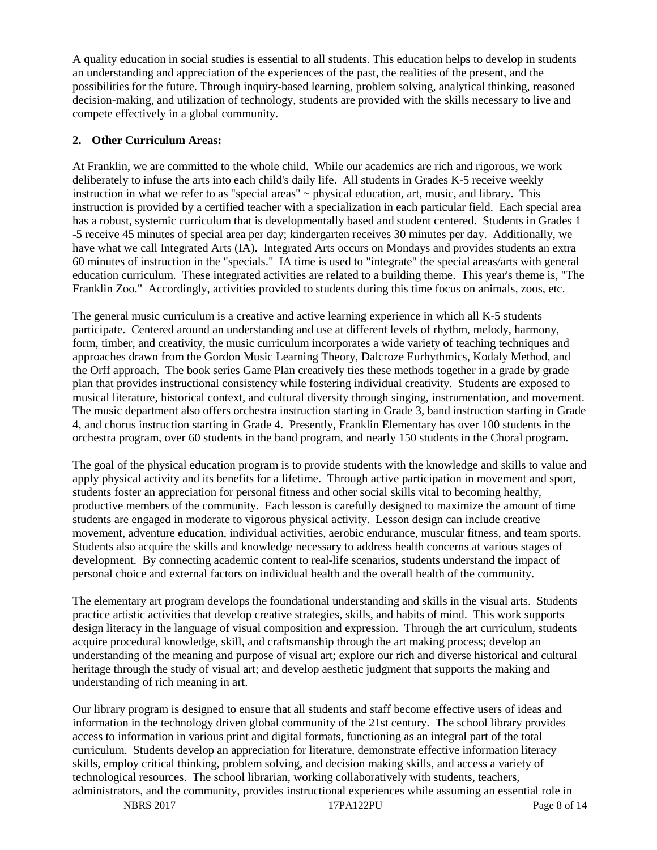A quality education in social studies is essential to all students. This education helps to develop in students an understanding and appreciation of the experiences of the past, the realities of the present, and the possibilities for the future. Through inquiry-based learning, problem solving, analytical thinking, reasoned decision-making, and utilization of technology, students are provided with the skills necessary to live and compete effectively in a global community.

### **2. Other Curriculum Areas:**

At Franklin, we are committed to the whole child. While our academics are rich and rigorous, we work deliberately to infuse the arts into each child's daily life. All students in Grades K-5 receive weekly instruction in what we refer to as "special areas" ~ physical education, art, music, and library. This instruction is provided by a certified teacher with a specialization in each particular field. Each special area has a robust, systemic curriculum that is developmentally based and student centered. Students in Grades 1 -5 receive 45 minutes of special area per day; kindergarten receives 30 minutes per day. Additionally, we have what we call Integrated Arts (IA). Integrated Arts occurs on Mondays and provides students an extra 60 minutes of instruction in the "specials." IA time is used to "integrate" the special areas/arts with general education curriculum. These integrated activities are related to a building theme. This year's theme is, "The Franklin Zoo." Accordingly, activities provided to students during this time focus on animals, zoos, etc.

The general music curriculum is a creative and active learning experience in which all K-5 students participate. Centered around an understanding and use at different levels of rhythm, melody, harmony, form, timber, and creativity, the music curriculum incorporates a wide variety of teaching techniques and approaches drawn from the Gordon Music Learning Theory, Dalcroze Eurhythmics, Kodaly Method, and the Orff approach. The book series Game Plan creatively ties these methods together in a grade by grade plan that provides instructional consistency while fostering individual creativity. Students are exposed to musical literature, historical context, and cultural diversity through singing, instrumentation, and movement. The music department also offers orchestra instruction starting in Grade 3, band instruction starting in Grade 4, and chorus instruction starting in Grade 4. Presently, Franklin Elementary has over 100 students in the orchestra program, over 60 students in the band program, and nearly 150 students in the Choral program.

The goal of the physical education program is to provide students with the knowledge and skills to value and apply physical activity and its benefits for a lifetime. Through active participation in movement and sport, students foster an appreciation for personal fitness and other social skills vital to becoming healthy, productive members of the community. Each lesson is carefully designed to maximize the amount of time students are engaged in moderate to vigorous physical activity. Lesson design can include creative movement, adventure education, individual activities, aerobic endurance, muscular fitness, and team sports. Students also acquire the skills and knowledge necessary to address health concerns at various stages of development. By connecting academic content to real-life scenarios, students understand the impact of personal choice and external factors on individual health and the overall health of the community.

The elementary art program develops the foundational understanding and skills in the visual arts. Students practice artistic activities that develop creative strategies, skills, and habits of mind. This work supports design literacy in the language of visual composition and expression. Through the art curriculum, students acquire procedural knowledge, skill, and craftsmanship through the art making process; develop an understanding of the meaning and purpose of visual art; explore our rich and diverse historical and cultural heritage through the study of visual art; and develop aesthetic judgment that supports the making and understanding of rich meaning in art.

Our library program is designed to ensure that all students and staff become effective users of ideas and information in the technology driven global community of the 21st century. The school library provides access to information in various print and digital formats, functioning as an integral part of the total curriculum. Students develop an appreciation for literature, demonstrate effective information literacy skills, employ critical thinking, problem solving, and decision making skills, and access a variety of technological resources. The school librarian, working collaboratively with students, teachers, administrators, and the community, provides instructional experiences while assuming an essential role in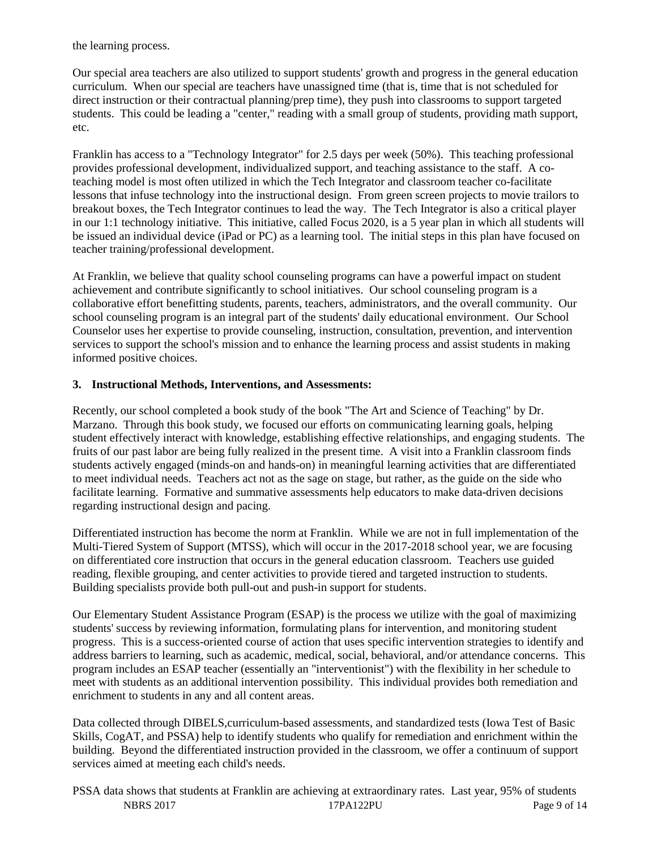the learning process.

Our special area teachers are also utilized to support students' growth and progress in the general education curriculum. When our special are teachers have unassigned time (that is, time that is not scheduled for direct instruction or their contractual planning/prep time), they push into classrooms to support targeted students. This could be leading a "center," reading with a small group of students, providing math support, etc.

Franklin has access to a "Technology Integrator" for 2.5 days per week (50%). This teaching professional provides professional development, individualized support, and teaching assistance to the staff. A coteaching model is most often utilized in which the Tech Integrator and classroom teacher co-facilitate lessons that infuse technology into the instructional design. From green screen projects to movie trailors to breakout boxes, the Tech Integrator continues to lead the way. The Tech Integrator is also a critical player in our 1:1 technology initiative. This initiative, called Focus 2020, is a 5 year plan in which all students will be issued an individual device (iPad or PC) as a learning tool. The initial steps in this plan have focused on teacher training/professional development.

At Franklin, we believe that quality school counseling programs can have a powerful impact on student achievement and contribute significantly to school initiatives. Our school counseling program is a collaborative effort benefitting students, parents, teachers, administrators, and the overall community. Our school counseling program is an integral part of the students' daily educational environment. Our School Counselor uses her expertise to provide counseling, instruction, consultation, prevention, and intervention services to support the school's mission and to enhance the learning process and assist students in making informed positive choices.

#### **3. Instructional Methods, Interventions, and Assessments:**

Recently, our school completed a book study of the book "The Art and Science of Teaching" by Dr. Marzano. Through this book study, we focused our efforts on communicating learning goals, helping student effectively interact with knowledge, establishing effective relationships, and engaging students. The fruits of our past labor are being fully realized in the present time. A visit into a Franklin classroom finds students actively engaged (minds-on and hands-on) in meaningful learning activities that are differentiated to meet individual needs. Teachers act not as the sage on stage, but rather, as the guide on the side who facilitate learning. Formative and summative assessments help educators to make data-driven decisions regarding instructional design and pacing.

Differentiated instruction has become the norm at Franklin. While we are not in full implementation of the Multi-Tiered System of Support (MTSS), which will occur in the 2017-2018 school year, we are focusing on differentiated core instruction that occurs in the general education classroom. Teachers use guided reading, flexible grouping, and center activities to provide tiered and targeted instruction to students. Building specialists provide both pull-out and push-in support for students.

Our Elementary Student Assistance Program (ESAP) is the process we utilize with the goal of maximizing students' success by reviewing information, formulating plans for intervention, and monitoring student progress. This is a success-oriented course of action that uses specific intervention strategies to identify and address barriers to learning, such as academic, medical, social, behavioral, and/or attendance concerns. This program includes an ESAP teacher (essentially an "interventionist") with the flexibility in her schedule to meet with students as an additional intervention possibility. This individual provides both remediation and enrichment to students in any and all content areas.

Data collected through DIBELS, curriculum-based assessments, and standardized tests (Iowa Test of Basic Skills, CogAT, and PSSA) help to identify students who qualify for remediation and enrichment within the building. Beyond the differentiated instruction provided in the classroom, we offer a continuum of support services aimed at meeting each child's needs.

NBRS 2017 **17PA122PU** Page 9 of 14 PSSA data shows that students at Franklin are achieving at extraordinary rates. Last year, 95% of students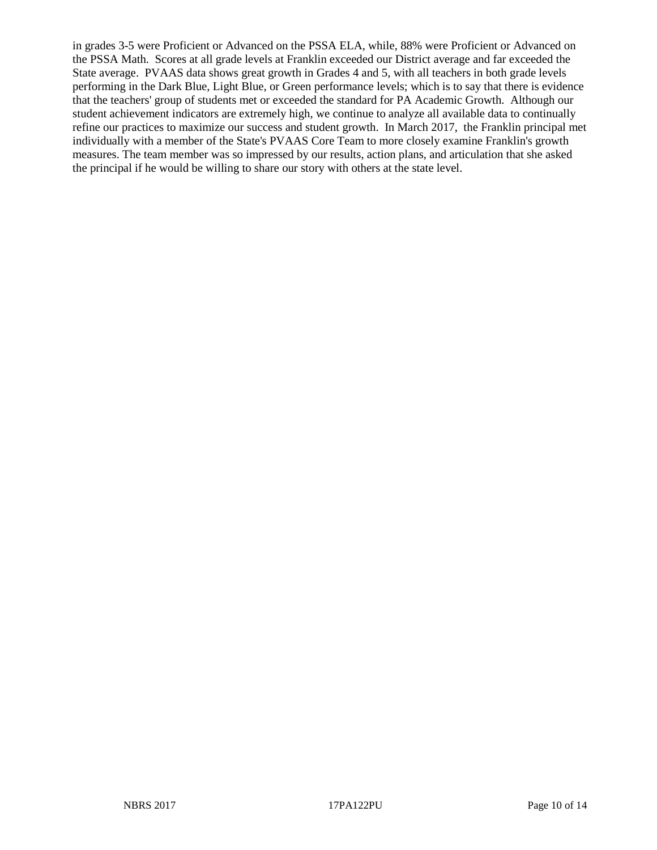in grades 3-5 were Proficient or Advanced on the PSSA ELA, while, 88% were Proficient or Advanced on the PSSA Math. Scores at all grade levels at Franklin exceeded our District average and far exceeded the State average. PVAAS data shows great growth in Grades 4 and 5, with all teachers in both grade levels performing in the Dark Blue, Light Blue, or Green performance levels; which is to say that there is evidence that the teachers' group of students met or exceeded the standard for PA Academic Growth. Although our student achievement indicators are extremely high, we continue to analyze all available data to continually refine our practices to maximize our success and student growth. In March 2017, the Franklin principal met individually with a member of the State's PVAAS Core Team to more closely examine Franklin's growth measures. The team member was so impressed by our results, action plans, and articulation that she asked the principal if he would be willing to share our story with others at the state level.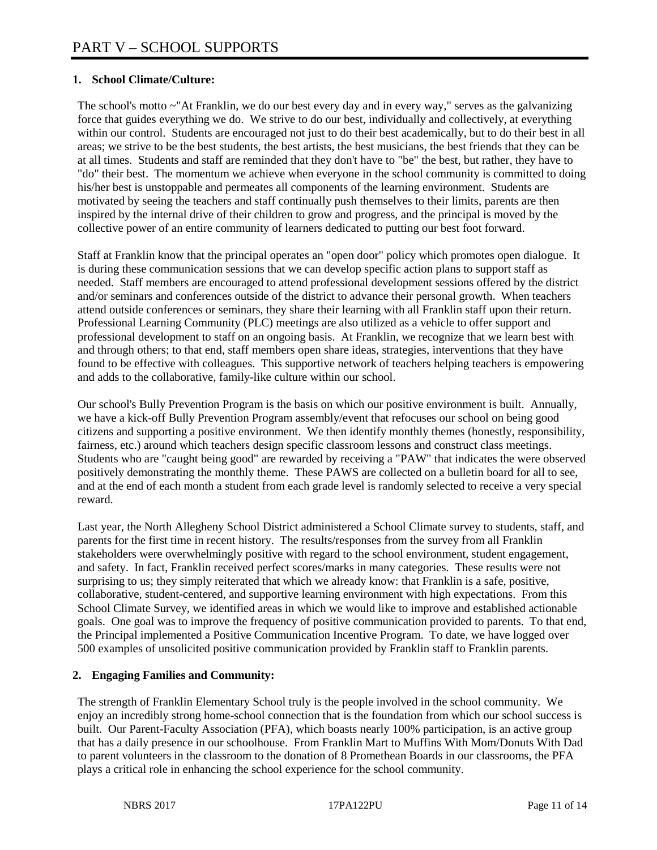# **1. School Climate/Culture:**

The school's motto ~"At Franklin, we do our best every day and in every way," serves as the galvanizing force that guides everything we do. We strive to do our best, individually and collectively, at everything within our control. Students are encouraged not just to do their best academically, but to do their best in all areas; we strive to be the best students, the best artists, the best musicians, the best friends that they can be at all times. Students and staff are reminded that they don't have to "be" the best, but rather, they have to "do" their best. The momentum we achieve when everyone in the school community is committed to doing his/her best is unstoppable and permeates all components of the learning environment. Students are motivated by seeing the teachers and staff continually push themselves to their limits, parents are then inspired by the internal drive of their children to grow and progress, and the principal is moved by the collective power of an entire community of learners dedicated to putting our best foot forward.

Staff at Franklin know that the principal operates an "open door" policy which promotes open dialogue. It is during these communication sessions that we can develop specific action plans to support staff as needed. Staff members are encouraged to attend professional development sessions offered by the district and/or seminars and conferences outside of the district to advance their personal growth. When teachers attend outside conferences or seminars, they share their learning with all Franklin staff upon their return. Professional Learning Community (PLC) meetings are also utilized as a vehicle to offer support and professional development to staff on an ongoing basis. At Franklin, we recognize that we learn best with and through others; to that end, staff members open share ideas, strategies, interventions that they have found to be effective with colleagues. This supportive network of teachers helping teachers is empowering and adds to the collaborative, family-like culture within our school.

Our school's Bully Prevention Program is the basis on which our positive environment is built. Annually, we have a kick-off Bully Prevention Program assembly/event that refocuses our school on being good citizens and supporting a positive environment. We then identify monthly themes (honestly, responsibility, fairness, etc.) around which teachers design specific classroom lessons and construct class meetings. Students who are "caught being good" are rewarded by receiving a "PAW" that indicates the were observed positively demonstrating the monthly theme. These PAWS are collected on a bulletin board for all to see, and at the end of each month a student from each grade level is randomly selected to receive a very special reward.

Last year, the North Allegheny School District administered a School Climate survey to students, staff, and parents for the first time in recent history. The results/responses from the survey from all Franklin stakeholders were overwhelmingly positive with regard to the school environment, student engagement, and safety. In fact, Franklin received perfect scores/marks in many categories. These results were not surprising to us; they simply reiterated that which we already know: that Franklin is a safe, positive, collaborative, student-centered, and supportive learning environment with high expectations. From this School Climate Survey, we identified areas in which we would like to improve and established actionable goals. One goal was to improve the frequency of positive communication provided to parents. To that end, the Principal implemented a Positive Communication Incentive Program. To date, we have logged over 500 examples of unsolicited positive communication provided by Franklin staff to Franklin parents.

## **2. Engaging Families and Community:**

The strength of Franklin Elementary School truly is the people involved in the school community. We enjoy an incredibly strong home-school connection that is the foundation from which our school success is built. Our Parent-Faculty Association (PFA), which boasts nearly 100% participation, is an active group that has a daily presence in our schoolhouse. From Franklin Mart to Muffins With Mom/Donuts With Dad to parent volunteers in the classroom to the donation of 8 Promethean Boards in our classrooms, the PFA plays a critical role in enhancing the school experience for the school community.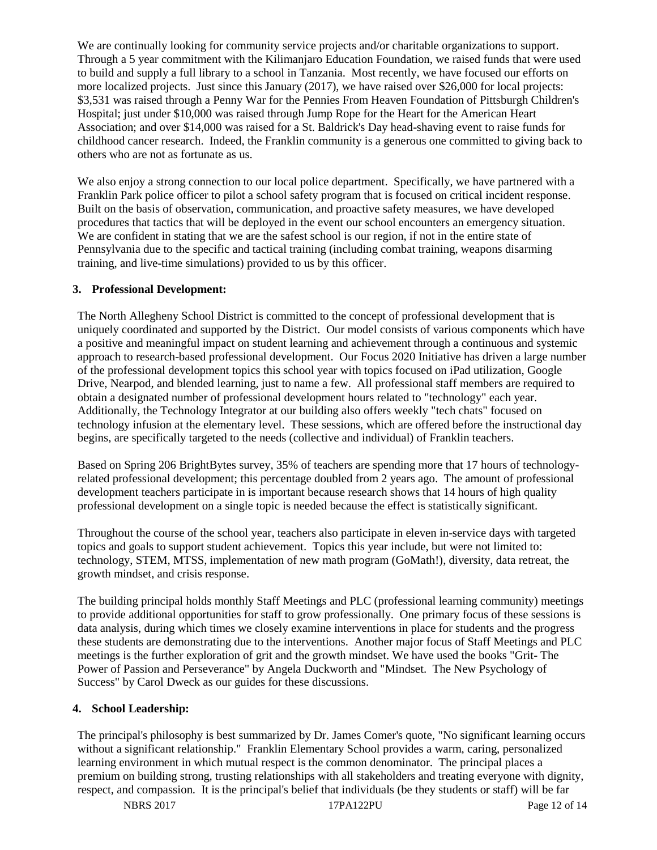We are continually looking for community service projects and/or charitable organizations to support. Through a 5 year commitment with the Kilimanjaro Education Foundation, we raised funds that were used to build and supply a full library to a school in Tanzania. Most recently, we have focused our efforts on more localized projects. Just since this January (2017), we have raised over \$26,000 for local projects: \$3,531 was raised through a Penny War for the Pennies From Heaven Foundation of Pittsburgh Children's Hospital; just under \$10,000 was raised through Jump Rope for the Heart for the American Heart Association; and over \$14,000 was raised for a St. Baldrick's Day head-shaving event to raise funds for childhood cancer research. Indeed, the Franklin community is a generous one committed to giving back to others who are not as fortunate as us.

We also enjoy a strong connection to our local police department. Specifically, we have partnered with a Franklin Park police officer to pilot a school safety program that is focused on critical incident response. Built on the basis of observation, communication, and proactive safety measures, we have developed procedures that tactics that will be deployed in the event our school encounters an emergency situation. We are confident in stating that we are the safest school is our region, if not in the entire state of Pennsylvania due to the specific and tactical training (including combat training, weapons disarming training, and live-time simulations) provided to us by this officer.

#### **3. Professional Development:**

The North Allegheny School District is committed to the concept of professional development that is uniquely coordinated and supported by the District. Our model consists of various components which have a positive and meaningful impact on student learning and achievement through a continuous and systemic approach to research-based professional development. Our Focus 2020 Initiative has driven a large number of the professional development topics this school year with topics focused on iPad utilization, Google Drive, Nearpod, and blended learning, just to name a few. All professional staff members are required to obtain a designated number of professional development hours related to "technology" each year. Additionally, the Technology Integrator at our building also offers weekly "tech chats" focused on technology infusion at the elementary level. These sessions, which are offered before the instructional day begins, are specifically targeted to the needs (collective and individual) of Franklin teachers.

Based on Spring 206 BrightBytes survey, 35% of teachers are spending more that 17 hours of technologyrelated professional development; this percentage doubled from 2 years ago. The amount of professional development teachers participate in is important because research shows that 14 hours of high quality professional development on a single topic is needed because the effect is statistically significant.

Throughout the course of the school year, teachers also participate in eleven in-service days with targeted topics and goals to support student achievement. Topics this year include, but were not limited to: technology, STEM, MTSS, implementation of new math program (GoMath!), diversity, data retreat, the growth mindset, and crisis response.

The building principal holds monthly Staff Meetings and PLC (professional learning community) meetings to provide additional opportunities for staff to grow professionally. One primary focus of these sessions is data analysis, during which times we closely examine interventions in place for students and the progress these students are demonstrating due to the interventions. Another major focus of Staff Meetings and PLC meetings is the further exploration of grit and the growth mindset. We have used the books "Grit- The Power of Passion and Perseverance" by Angela Duckworth and "Mindset. The New Psychology of Success" by Carol Dweck as our guides for these discussions.

## **4. School Leadership:**

The principal's philosophy is best summarized by Dr. James Comer's quote, "No significant learning occurs without a significant relationship." Franklin Elementary School provides a warm, caring, personalized learning environment in which mutual respect is the common denominator. The principal places a premium on building strong, trusting relationships with all stakeholders and treating everyone with dignity, respect, and compassion. It is the principal's belief that individuals (be they students or staff) will be far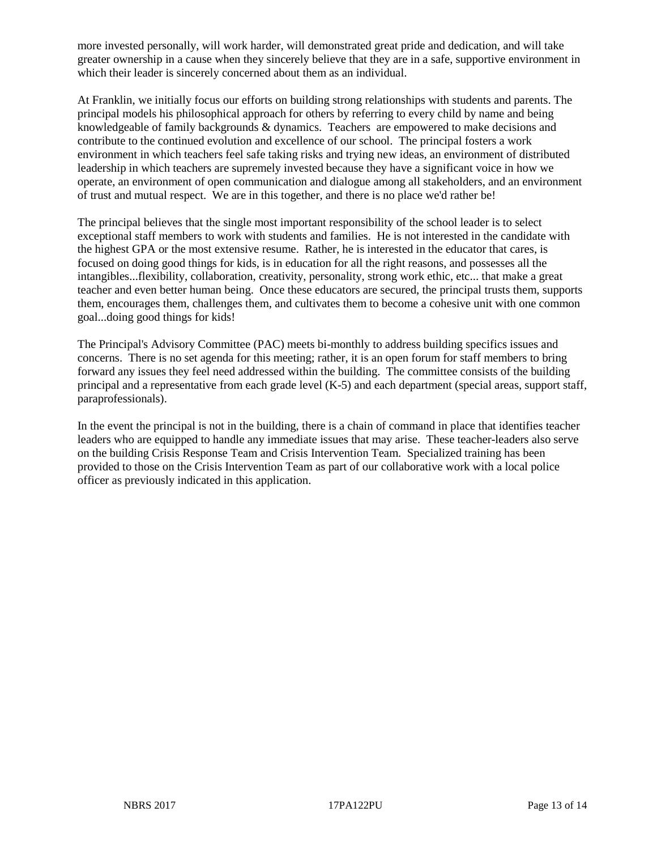more invested personally, will work harder, will demonstrated great pride and dedication, and will take greater ownership in a cause when they sincerely believe that they are in a safe, supportive environment in which their leader is sincerely concerned about them as an individual.

At Franklin, we initially focus our efforts on building strong relationships with students and parents. The principal models his philosophical approach for others by referring to every child by name and being knowledgeable of family backgrounds & dynamics. Teachers are empowered to make decisions and contribute to the continued evolution and excellence of our school. The principal fosters a work environment in which teachers feel safe taking risks and trying new ideas, an environment of distributed leadership in which teachers are supremely invested because they have a significant voice in how we operate, an environment of open communication and dialogue among all stakeholders, and an environment of trust and mutual respect. We are in this together, and there is no place we'd rather be!

The principal believes that the single most important responsibility of the school leader is to select exceptional staff members to work with students and families. He is not interested in the candidate with the highest GPA or the most extensive resume. Rather, he is interested in the educator that cares, is focused on doing good things for kids, is in education for all the right reasons, and possesses all the intangibles...flexibility, collaboration, creativity, personality, strong work ethic, etc... that make a great teacher and even better human being. Once these educators are secured, the principal trusts them, supports them, encourages them, challenges them, and cultivates them to become a cohesive unit with one common goal...doing good things for kids!

The Principal's Advisory Committee (PAC) meets bi-monthly to address building specifics issues and concerns. There is no set agenda for this meeting; rather, it is an open forum for staff members to bring forward any issues they feel need addressed within the building. The committee consists of the building principal and a representative from each grade level (K-5) and each department (special areas, support staff, paraprofessionals).

In the event the principal is not in the building, there is a chain of command in place that identifies teacher leaders who are equipped to handle any immediate issues that may arise. These teacher-leaders also serve on the building Crisis Response Team and Crisis Intervention Team. Specialized training has been provided to those on the Crisis Intervention Team as part of our collaborative work with a local police officer as previously indicated in this application.